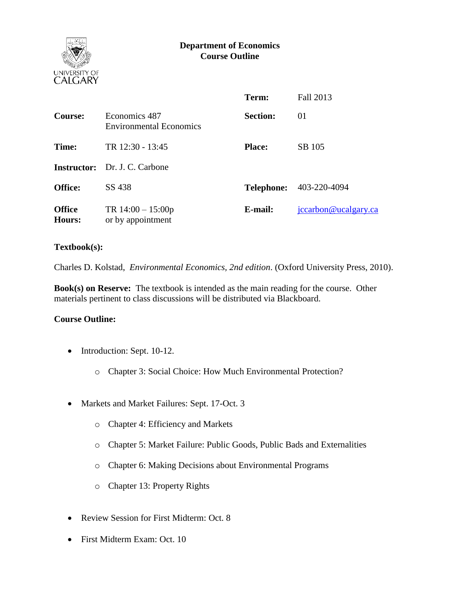



|                         |                                                 | Term:           | Fall 2013                      |
|-------------------------|-------------------------------------------------|-----------------|--------------------------------|
| <b>Course:</b>          | Economics 487<br><b>Environmental Economics</b> | <b>Section:</b> | 01                             |
| Time:                   | TR 12:30 - 13:45                                | <b>Place:</b>   | SB 105                         |
|                         | <b>Instructor:</b> Dr. J. C. Carbone            |                 |                                |
| <b>Office:</b>          | SS 438                                          |                 | <b>Telephone:</b> 403-220-4094 |
| <b>Office</b><br>Hours: | TR $14:00 - 15:00p$<br>or by appointment        | E-mail:         | jccarbon@ucalgary.ca           |

### **Textbook(s):**

Charles D. Kolstad, *Environmental Economics, 2nd edition*. (Oxford University Press, 2010).

**Book(s) on Reserve:** The textbook is intended as the main reading for the course. Other materials pertinent to class discussions will be distributed via Blackboard.

### **Course Outline:**

- Introduction: Sept. 10-12.
	- o Chapter 3: Social Choice: How Much Environmental Protection?
- Markets and Market Failures: Sept. 17-Oct. 3
	- o Chapter 4: Efficiency and Markets
	- o Chapter 5: Market Failure: Public Goods, Public Bads and Externalities
	- o Chapter 6: Making Decisions about Environmental Programs
	- o Chapter 13: Property Rights
- Review Session for First Midterm: Oct. 8
- First Midterm Exam: Oct. 10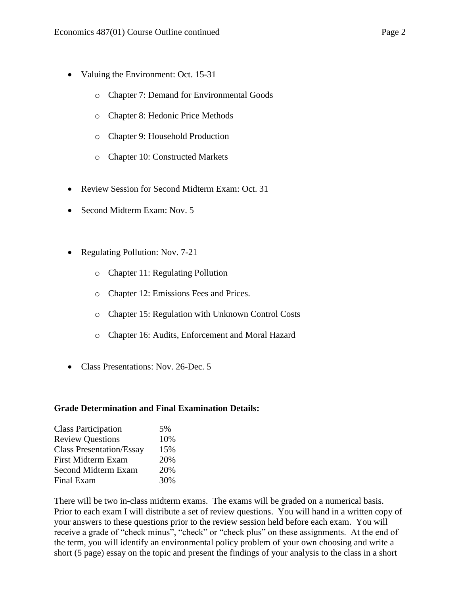- Valuing the Environment: Oct. 15-31
	- o Chapter 7: Demand for Environmental Goods
	- o Chapter 8: Hedonic Price Methods
	- o Chapter 9: Household Production
	- o Chapter 10: Constructed Markets
- Review Session for Second Midterm Exam: Oct. 31
- Second Midterm Exam: Nov. 5
- Regulating Pollution: Nov. 7-21
	- o Chapter 11: Regulating Pollution
	- o Chapter 12: Emissions Fees and Prices.
	- o Chapter 15: Regulation with Unknown Control Costs
	- o Chapter 16: Audits, Enforcement and Moral Hazard
- Class Presentations: Nov. 26-Dec. 5

### **Grade Determination and Final Examination Details:**

| <b>Class Participation</b>      | 5%  |
|---------------------------------|-----|
| <b>Review Questions</b>         | 10% |
| <b>Class Presentation/Essay</b> | 15% |
| <b>First Midterm Exam</b>       | 20% |
| <b>Second Midterm Exam</b>      | 20% |
| <b>Final Exam</b>               | 30% |

There will be two in-class midterm exams. The exams will be graded on a numerical basis. Prior to each exam I will distribute a set of review questions. You will hand in a written copy of your answers to these questions prior to the review session held before each exam. You will receive a grade of "check minus", "check" or "check plus" on these assignments. At the end of the term, you will identify an environmental policy problem of your own choosing and write a short (5 page) essay on the topic and present the findings of your analysis to the class in a short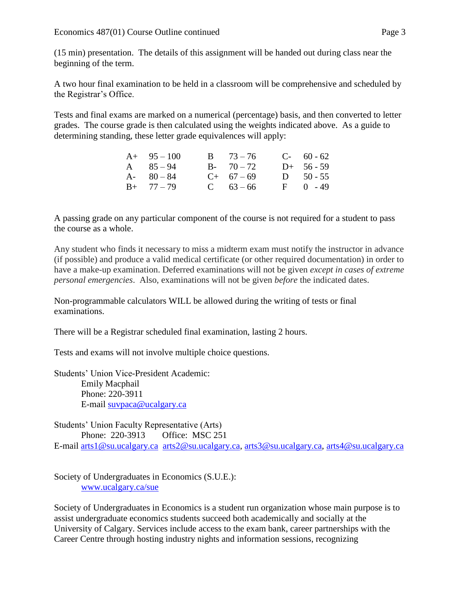(15 min) presentation. The details of this assignment will be handed out during class near the beginning of the term.

A two hour final examination to be held in a classroom will be comprehensive and scheduled by the Registrar's Office.

Tests and final exams are marked on a numerical (percentage) basis, and then converted to letter grades. The course grade is then calculated using the weights indicated above. As a guide to determining standing, these letter grade equivalences will apply:

| $A+ 95-100$   | $B = 73 - 76$ | $C-60-62$    |
|---------------|---------------|--------------|
| A $85-94$     | $B - 70 - 72$ | $D+ 56 - 59$ |
| $A - 80 - 84$ | $C+ 67-69$    | D $50 - 55$  |
| $B+ 77-79$    | C $63 - 66$   | $F = 0 - 49$ |

A passing grade on any particular component of the course is not required for a student to pass the course as a whole.

Any student who finds it necessary to miss a midterm exam must notify the instructor in advance (if possible) and produce a valid medical certificate (or other required documentation) in order to have a make-up examination. Deferred examinations will not be given *except in cases of extreme personal emergencies*. Also, examinations will not be given *before* the indicated dates.

Non-programmable calculators WILL be allowed during the writing of tests or final examinations.

There will be a Registrar scheduled final examination, lasting 2 hours.

Tests and exams will not involve multiple choice questions.

Students' Union Vice-President Academic: Emily Macphail Phone: 220-3911 E-mail [suvpaca@ucalgary.ca](mailto:subpaca@ucalgary.ca)

Students' Union Faculty Representative (Arts) Phone: 220-3913 Office: MSC 251 E-mail [arts1@su.ucalgary.ca](mailto:arts1@su.ucalgary.ca) [arts2@su.ucalgary.ca,](mailto:arts2@su.ucalgary.ca) [arts3@su.ucalgary.ca,](mailto:arts3@su.ucalgary.ca) [arts4@su.ucalgary.ca](mailto:arts4@su.ucalgary.ca)

Society of Undergraduates in Economics (S.U.E.): [www.ucalgary.ca/sue](http://www.fp.ucalgary.ca/econ)

Society of Undergraduates in Economics is a student run organization whose main purpose is to assist undergraduate economics students succeed both academically and socially at the University of Calgary. Services include access to the exam bank, career partnerships with the Career Centre through hosting industry nights and information sessions, recognizing